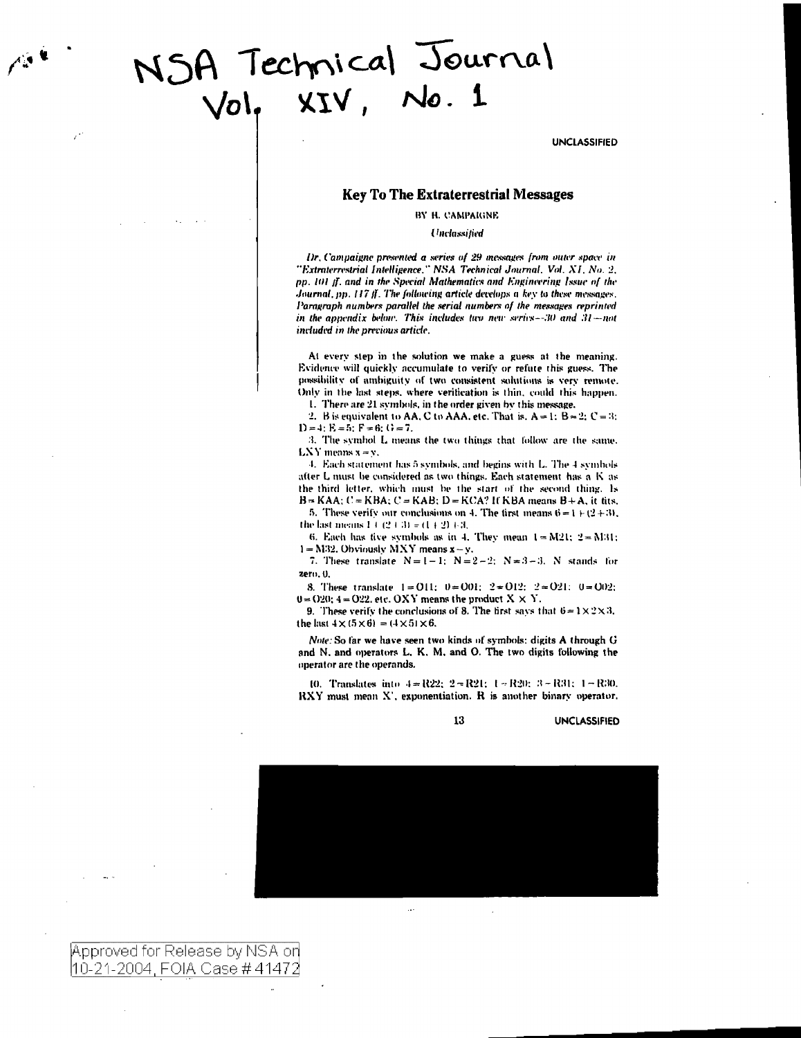# NSA Technical Journal

**UNCLASSIFIED** 

# **Key To The Extraterrestrial Messages**

BY H. CAMPAIGNE

Unclassified

Dr. Campaigne presented a series of 29 messages from outer space in "Extraterrestrial Intelligence," NSA Technical Journal, Vol. XI, No. 2, pp. 101 ff. and in the Special Mathematics and Engineering Issue of the Journal, pp. 117 ff. The following article develops a key to these messages. Paragraph numbers parallel the serial numbers of the messages reprinted in the appendix below. This includes two new series $-30$  and  $31$  -not included in the previous article.

At every step in the solution we make a guess at the meaning. Evidence will quickly accumulate to verify or refute this guess. The possibility of ambiguity of two consistent solutions is very remote. Only in the last steps, where verification is thin, could this happen.

1. There are 21 symbols, in the order given by this message.

2. B is equivalent to AA, C to AAA, etc. That is,  $A = 1$ ;  $B = 2$ ;  $C = 3$ ;  $D = 4$ :  $E = 5$ :  $F = 6$ :  $G = 7$ .

3. The symbol L means the two things that follow are the same.  $LXY$  means  $x = y$ .

4. Each statement has 5 symbols, and begins with L. The 4 symbols after L must be considered as two things. Each statement has a K as the third letter, which must be the start of the second thing. Is  $B = KAA$ ;  $C = KBA$ ;  $C = KAB$ ;  $D = KCA$ ? It KBA means  $B + A$ , it tits,

5. These verify our conclusions on 4. The first means  $6 = 1 + (2 + 3)$ , the last means  $1 + (2 + 3) = (1 + 2) + 3$ ,

6. Each has five symbols as in 4. They mean  $1 = M21$ :  $2 = M31$ :  $1 = M32$ . Obviously MXY means  $x - y$ .

7. These translate  $N=1-1$ ;  $N=2-2$ ;  $N=3-3$ . N stands for zero. 0.

8. These translate  $1 = 011$ ;  $0 = 001$ ;  $2 = 012$ ;  $2 = 021$ ;  $0 = 002$ ;  $0 = 020$ ;  $4 = 022$ , etc. OXY means the product  $X \times Y$ .

9. These verify the conclusions of 8. The first says that  $6 = 1 \times 2 \times 3$ , the last  $4 \times (5 \times 6) = (4 \times 5) \times 6$ .

Note: So far we have seen two kinds of symbols: digits A through G and N. and operators L. K. M. and O. The two digits following the operator are the operands.

10. Translates into  $4 = R22$ ;  $2 = R21$ ;  $1 = R20$ ;  $3 = R31$ ;  $1 = R30$ . RXY must mean X', exponentiation. R is another binary operator.

13

**UNCLASSIFIED** 



Approved for Release by NSA on |10-21-2004, FOIA Case # 41472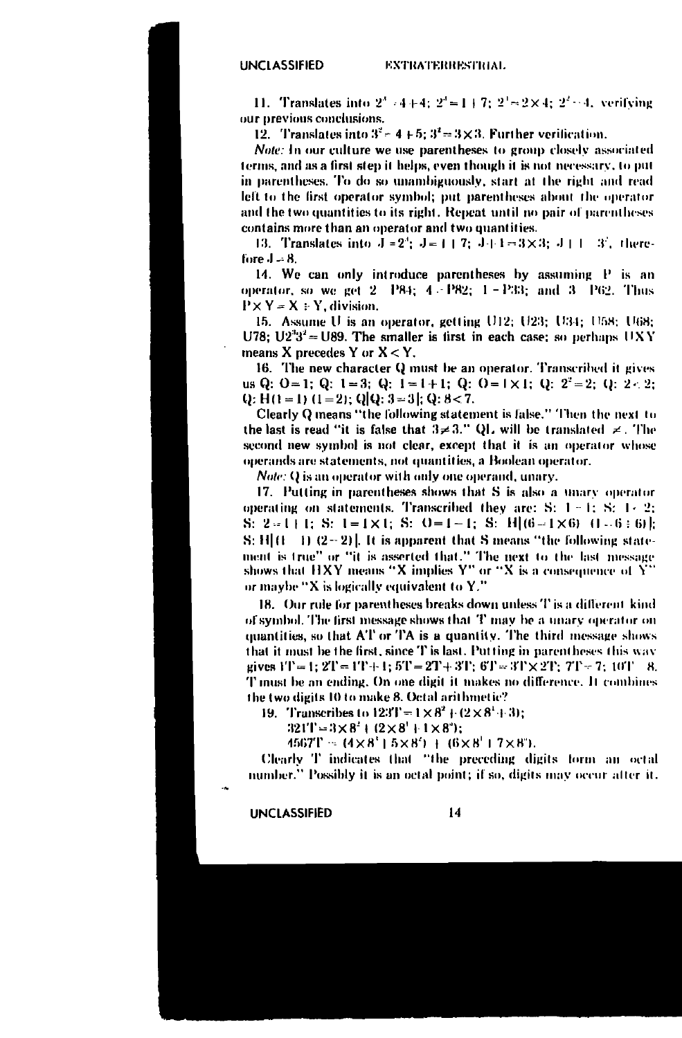11. Translates into  $2^3 - 4 + 4$ :  $2^4 = 1 + 7$ :  $2^3 = 2 \times 4$ :  $2^2 - 4$ , verifying our previous conclusions.

12. Translates into  $3^2$  = 4 + 5;  $3^2$  = 3 × 3. Further verification.

Note: In our culture we use parentheses to group closely associated terms, and as a first step it helps, even though it is not necessary, to put in parentheses. To do so unambiguously, start at the right and read left to the first operator symbol; put parentheses about the operator and the two quantities to its right. Repeat until no pair of parentheses contains more than an operator and two quantities.

13. Translates into  $J = 2^3$ ;  $J = 1 + 7$ ;  $J + 1 = 3 \times 3$ ;  $J + 1 = 3^3$ , therefore  $J = 8$ .

14. We can only introduce parentheses by assuming P is an operator, so we get 2 P84; 4 - P82; 1 - P33; and 3 P62. Thus  $P \times Y = X : Y$ , division.

15. Assume U is an operator, getting U12; U23; U34; U58; U68; U78; U2<sup>3</sup>3<sup>2</sup> = U89. The smaller is first in each case; so perhaps UXY means X precedes Y or  $X < Y$ .

16. The new character Q must be an operator. Transcribed it gives us Q:  $0 = 1$ ; Q:  $1 = 3$ ; Q:  $1 = 1 + 1$ ; Q:  $0 = 1 \times 1$ ; Q:  $2^2 = 2$ ; Q: 2 . 2; Q: H(1 = 1) (1 = 2); Q[Q: 3 = 3]; Q: 8 < 7.

Clearly Q means "the following statement is false." Then the next to the last is read "it is false that  $3 \neq 3$ ." QL will be translated  $\neq$ . The second new symbol is not clear, except that it is an operator whose operands are statements, not quantities, a Boolean operator.

*Note:* Q is an operator with only one operand, unary.

17. Putting in parentheses shows that S is also a unary operator operating on statements. Transcribed they are: S:  $1 - 1$ ; S:  $1 - 2$ ; S: 2=1+1; S: 1=1×1; S: 0=1-1; S: H(6-1×6) (1-6+6)];  $S: H[(1 \t1) (2-2)]$ . It is apparent that S means "the following statement is true" or "it is asserted that." The next to the last message shows that HXY means "X implies  $Y''$  or "X is a consequence of  $\tilde{Y}'$ or maybe "X is logically equivalent to Y."

18. Our rule for parentheses breaks down unless T is a different kind of symbol. The first message shows that T may be a unary operator on quantities, so that AT or TA is a quantity. The third message shows that it must be the first, since T is last. Putting in parentheses this way gives  $1T = 1$ ;  $2T = 1T + 1$ ;  $5T = 2T + 3T$ ;  $6T = 3T \times 2T$ ;  $7T = 7$ ;  $10T - 8$ . T must be an ending. On one digit it makes no difference. It combines the two digits 10 to make 8. Octal arithmetic?

19. Transcribes to  $123T - 1 \times 8^2 + (2 \times 8^1 + 3)$ ;

 $321T = 3 \times 8^2 + (2 \times 8^1 + 1 \times 8^2);$ 

 $4567T = (4 \times 8' + 5 \times 8') + (6 \times 8' + 7 \times 8')$ .

Clearly T indicates that "the preceding digits form an octal number." Possibly it is an octal point; if so, digits may occur after it.

**UNCLASSIFIED**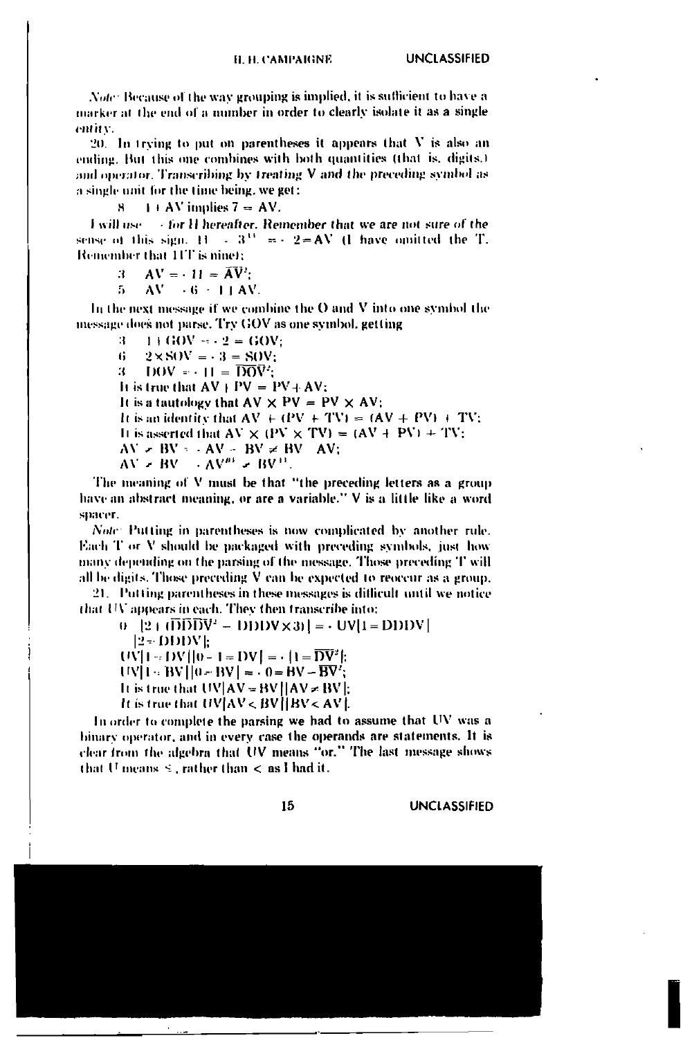Note: Because of the way grouping is implied, it is sufficient to have a marker at the end of a number in order to clearly isolate it as a single entity.

 $20$ . In trying to put on parentheses it appears that V is also an ending. But this one combines with both quantities (that is, digits.) and operator. Transcribing by treating V and the preceding symbol as a single unit for the time being, we get:

> $1 + AV$  implies  $7 = AV$ . ч

tor H hereafter. Remember that we are not sure of the **Lwill use** sense of this sign.  $H = 3^{11} = -2 = AV$  (1 have omitted the T. Remember that 11T is nine);

- $AV = -11 = AV$ :  $\mathbf{a}$
- $AV = -6 = 1 + AV$ . 5

In the next message if we combine the O and V into one symbol the message does not parse. Try GOV as one symbol, getting

 $\mathcal{R}$  $1 + GOV = -2 = GOV$  $2 \times$ SOV =  $-3$  = SOV: 6  $DOV = -H =  $\overline{DOV}$ .$ 31. It is true that  $AV + PV = PV + AV$ : It is a tautology that  $AV \times PV = PV \times AV$ ; It is an identity that  $AV + (PV + TV) = (AV + PV) + TV$ ; It is asserted that  $AV \times (PV \times TV) = (AV + PV) + TV$ ;  $AV = BV - AV - BV \neq BV - AV$ ;  $AV = BV - AV^m = BV^H$ 

The meaning of V must be that "the preceding letters as a group have an abstract meaning, or are a variable." V is a little like a word spacer.

Note: Putting in parentheses is now complicated by another rule. Each T or V should be packaged with preceding symbols, just how many depending on the parsing of the message. Those preceding T will all be digits. Those preceding V can be expected to reoccur as a group.

21. Putting parentheses in these messages is difficult until we notice that UV appears in each. They then transcribe into:

 $0$  |2 |  $(\overline{D}\overline{D}\overline{D}V^2 - D\overline{D}DV \times 3)$ | =  $\cdot$  UV|1 = DDDV|

 $12 - DDDVE$ 

 $UV[1 - DV][0 - 1 = DV] = |1 = \overline{DV'}|$ :

 $UV[1 - BV][0 - BV] = 0 = BV - BV'$ ;

It is true that  $UV|AV = BV||AV = BV||$ .

It is true that  $UV|AV < BV|$  BV < AV |.

In order to complete the parsing we had to assume that UV was a binary operator, and in every case the operands are statements. It is clear from the algebra that UV means "or." The last message shows that U means  $\leq$ , rather than  $\lt$  as I had it.

15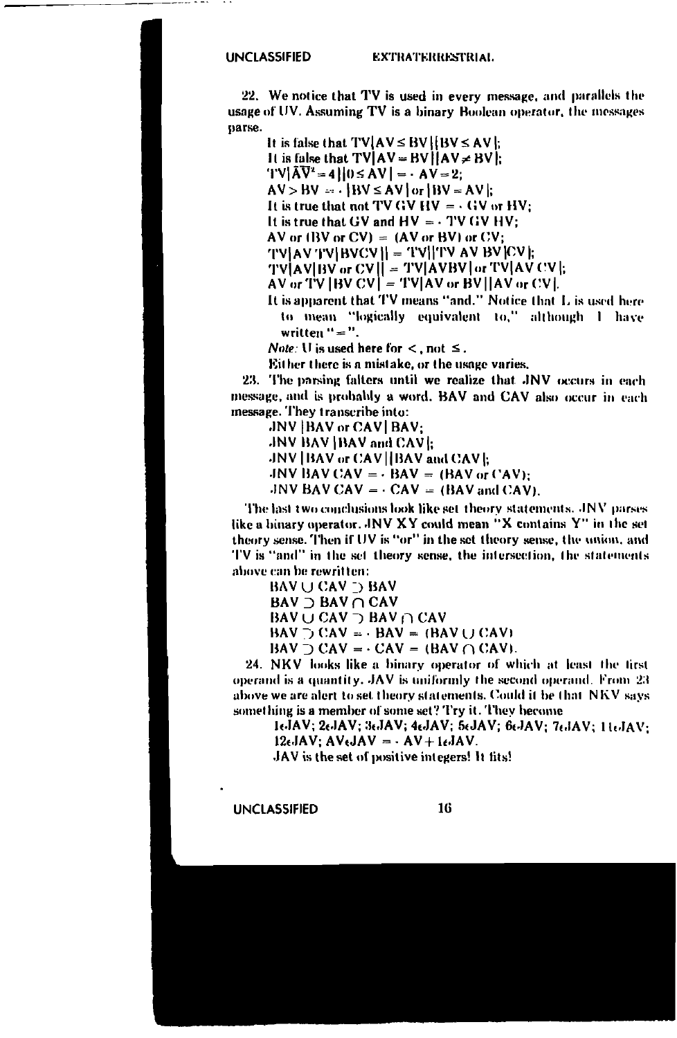### **EXTRATERRESTRIAL**

22. We notice that TV is used in every message, and parallels the usage of UV. Assuming TV is a binary Boolean operator, the messages parse.

It is false that  $TVAVC \le BVI (BV \le AVI)$ . It is false that  $TV$   $AV = BV$   $AV \neq BV$ .  $TV|\bar{A}\bar{V}^2 = 4||0 \le AV| = -AV = 2$  $AV > BV = \frac{1}{1}$   $BV \le AV$  or  $BW = AV$ : It is true that not TV GV HV =  $\cdot$  GV or HV: It is true that GV and  $HV = \cdot TV$  GV HV: AV or  $(BV or CV) = (AV or BV)$  or  $CV$ ;  $|TV|AV|TV|BVCV|| = |TV||TVAVBV|CV||$ TV|AV|BV or CV|| = TV|AVBV| or TV|AV CV|:  $AV$  or  $TV$  [BV  $CV$ ] =  $TV$ [AV or BV][AV or  $CV$ ]. It is apparent that TV means "and." Notice that L is used here

to mean "logically equivalent to," although I have written " = ".

*Note:* U is used here for  $\lt$ , not  $\leq$ .

Either there is a mistake, or the usage varies.

23. The parsing falters until we realize that JNV occurs in each message, and is probably a word. BAV and CAV also occur in each message. They transcribe into:

JNV | BAV or CAV | BAV: JNV BAV IBAV and CAVI: JNV | BAV or CAV | BAV and CAV |: JNV BAV CAV =  $\cdot$  BAV = (BAV or CAV):

JNV BAV CAV =  $\cdot$  CAV = (BAV and CAV).

The last two conclusions look like set theory statements. JNV parses like a binary operator. JNV XY could mean "X contains Y" in the set theory sense. Then if UV is "or" in the set theory sense, the union, and TV is "and" in the set theory sense, the intersection, the statements above can be rewritten:

**BAV U CAV D BAV BAV** D BAV ∩ CAV BAV  $\cup$  CAV  $\supset$  BAV  $\cap$  CAV  $BAV \supset CAV = -BAV = (BAV \cup CAV)$  $BAV \supset CAV = -CAV = (BAV \cap CAV).$ 

24. NKV looks like a binary operator of which at least the first operand is a quantity. JAV is uniformly the second operand. From 23 above we are alert to set theory statements. Could it be that NKV says something is a member of some set? Try it. They become

16JAV; 26JAV; 36JAV; 46JAV; 56JAV; 66JAV; 76JAV; 116JAV;  $12 \epsilon JAV$ ;  $AV \epsilon JAV = -AV + 1 \epsilon JAV$ .

JAV is the set of positive integers! It fits!

**UNCLASSIFIED**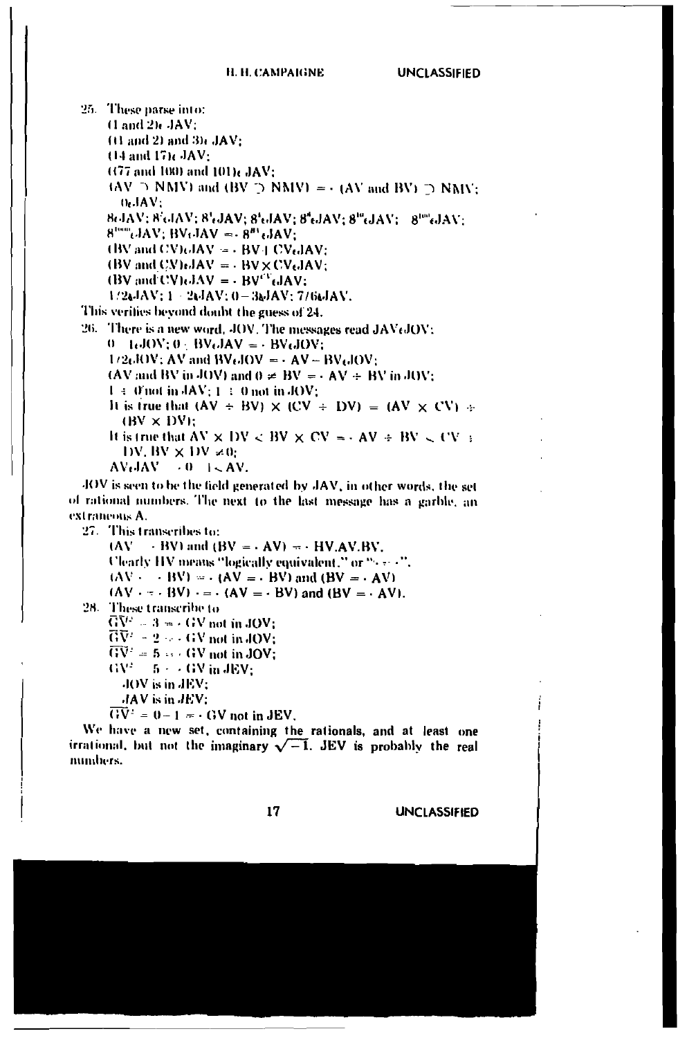25. These parse into:  $(1 \text{ and } 2)$   $\epsilon$   $\lambda$   $\lambda$   $\lambda$   $\lambda$  :  $(1)$  and 2) and 3) $\epsilon$  JAV:  $(14$  and  $17)$ c $JAV$ :  $(177 \text{ and } 100)$  and  $101$ )  $\text{JAV:}$  $(AV \supset NMV)$  and  $(BV \supset NMV) = -(AV$  and  $BV) \supset NMV$ ;  $0.3AV:$ 8GIAV; 8GIAV; 8GJAV; 8GIAV; 8GJAV; 8<sup>0</sup>GJAV; 8<sup>06</sup>GJAV;  $8^{100}$ ,  $AAV$ ,  $BV$ ,  $JAV = -8^{81}$ ,  $JAV$ ;  $(BV \text{ and } CV)$   $dAV = -BV + CV$   $dAV$ : (BV and CV) $\epsilon$ JAV =  $\cdot$  BV  $\times$  CV $\epsilon$ JAV;  $\textbf{(BV and CVAJAV = -BV}^T \textbf{.JAV})$  $1/2$ &JAV;  $1 - 2$ &JAV;  $0 - 3$ &JAV; 7/6&JAV. This verifies beyond doubt the guess of 24. 26. There is a new word, JOV. The messages read JAVtJOV:  $0 - L_0 JOV; 0 + BV_0 JAV = - BV_0 JOV;$  $1/2$ 6JOV; AV and BV6JOV =  $\cdot$  AV – BV6JOV; (AV and BV in JOV) and  $0 \neq BV = -AV + BV$  in JOV;  $1 \div 0$  not in  $\text{AN}: 1 \div 0$  not in JOV: It is true that  $(AV \div BV) \times (CV \div DV) = (AV \times CV) +$  $(BV \times DV)$ : It is true that AV  $\times$  DV  $\leq$  BV  $\times$  CV  $\approx$  - AV  $\div$  BV  $\leq$  CV  $\pm$ DV, BV  $\times$  DV  $\neq$ 0;  $AV_{C}JAV = 0$   $I < AV$ . JOV is seen to be the field generated by JAV, in other words, the set of rational numbers. The next to the last message has a garble, an extraneous A. 27. This transcribes to:  $(AV \rightarrow BV)$  and  $(BV = AV) = -HV.AV.BV$ . Clearly HV means "logically equivalent," or "(see 4").  $(AV - - BV) = (AV = - BV)$  and  $(BV = - AV)$  $(AV - - BW) = (AV = - BV)$  and  $(BV = -AV)$ . 28. These transcribe to  $\overline{G}V^2 = 3 = (4V \text{ not in JOV})$ 

 $\overrightarrow{GV}$  = 2  $\cdots$  GV not in JOV;  $\overline{GV'} = 5 \leftrightarrow GW$  not in JOV;  $\text{GV}^2 = 5 + \times \text{GV}$  in JEV;

JOV is in JEV:

JAV is in JEV:

 $\overrightarrow{GV} = 0 - 1 = -GV$  not in JEV.

We have a new set, containing the rationals, and at least one irrational, but not the imaginary  $\sqrt{-1}$ . JEV is probably the real numbers.

17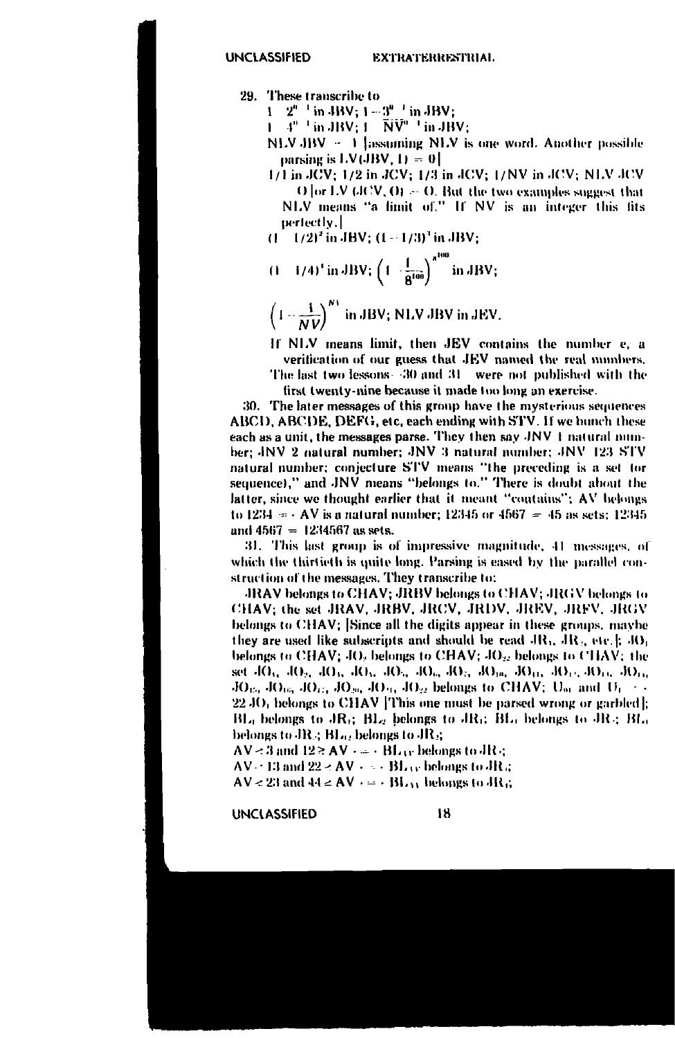29. These transcribe to

 $1 \quad 2^{n-1}$  in JBV:  $1 - 3^{n-1}$  in JBV:

 $1 - 4<sup>n-1</sup>$  in JBV;  $1 - \widetilde{N}\widetilde{V}^n$   $^{-1}$  in JBV;

- NLV JBV ~ 1 lassuming NLV is one word. Another possible parsing is LV(JBV,  $1$ ) = 0
- 1/1 in JCV; 1/2 in JCV; 1/3 in JCV; 1/NV in JCV; NLV JCV O or LV (JCV, O)  $\sim$  O. But the two examples suggest that NLV means "a limit of." If NV is an integer this fits perfectly.
- $(1 1/2)^2$  in JBV;  $(1 1/3)^3$  in JBV;
- $(1 1/4)^4$  in JBV;  $\left(1 \frac{1}{8^{100}}\right)^{8^{100}}$  in JBV;
- $\left(1-\frac{1}{NU}\right)^{N3}$  in JBV; NLV JBV in JEV.

If NLV means limit, then JEV contains the number e, a verification of our guess that JEV named the real numbers.

The last two lessons 30 and 31 were not published with the first twenty-nine because it made too long an exercise.

30. The later messages of this group have the mysterious sequences ABCD, ABCDE, DEFG, etc, each ending with STV. If we bunch these each as a unit, the messages parse. They then say JNV 1 natural number; JNV 2 natural number; JNV 3 natural number; JNV 123 STV natural number; conjecture STV means "the preceding is a set tor sequence)," and JNV means "belongs to." There is doubt about the latter, since we thought earlier that it meant "contains"; AV belongs to 1234 =  $\cdot$  AV is a natural number; 12345 or 4567 = 45 as sets; 12345 and  $4567 = 1234567$  as sets.

31. This last group is of impressive magnitude, 41 messages, of which the thirtieth is quite long. Parsing is eased by the parallel construction of the messages. They transcribe to:

JRAV belongs to CHAV; JRBV belongs to CHAV; JRGV belongs to CHAV: the set JRAV, JRBV, JRCV, JRDV, JREV, JRFV, JRGV belongs to CHAV; Since all the digits appear in these groups, maybe they are used like subscripts and should be read  $AR_1$ ,  $AR_2$ , etc.  $\parallel$ ,  $RO_1$ belongs to CHAV; JO, belongs to CHAV; JO<sub>2</sub>, belongs to CHAV; the set 40<sub>5</sub>, 40<sub>2</sub>, 40<sub>3</sub>, 40<sub>3</sub>, 40<sub>3</sub>, 40<sub>3</sub>, 40<sub>3</sub>, 40<sub>19</sub>, 40<sub>11</sub>, 40<sub>12</sub>, 40<sub>13</sub>, 50<sub>13</sub>,  $JO_{15}$ ,  $JO_{16}$ ,  $JO_{15}$ ,  $JO_{20}$ ,  $JO_{21}$ ,  $JO_{22}$  belongs to CHAV;  $U_{21}$  and  $U_1$ ...  $22\,\mathrm{JO}$ , belongs to CHAV This one must be parsed wrong or garbled). BL, belongs to JR<sub>G</sub> BL, belongs to JRG BL, belongs to JR<sub>G</sub> BL, belongs to JR<sub>3</sub> BL<sub>02</sub> belongs to JR<sub>3</sub>

 $AV = 3$  and  $12 \ge AV \rightarrow \rightarrow BL_{UV}$  belongs to JR q

 $AV = 13$  and  $22 < AV + \cdots$  BL is belongs to JR a

 $AV < 23$  and  $44 < AV$   $\rightarrow$  BL<sub>13</sub> belongs to JR<sub>4</sub>.

**UNCLASSIFIED**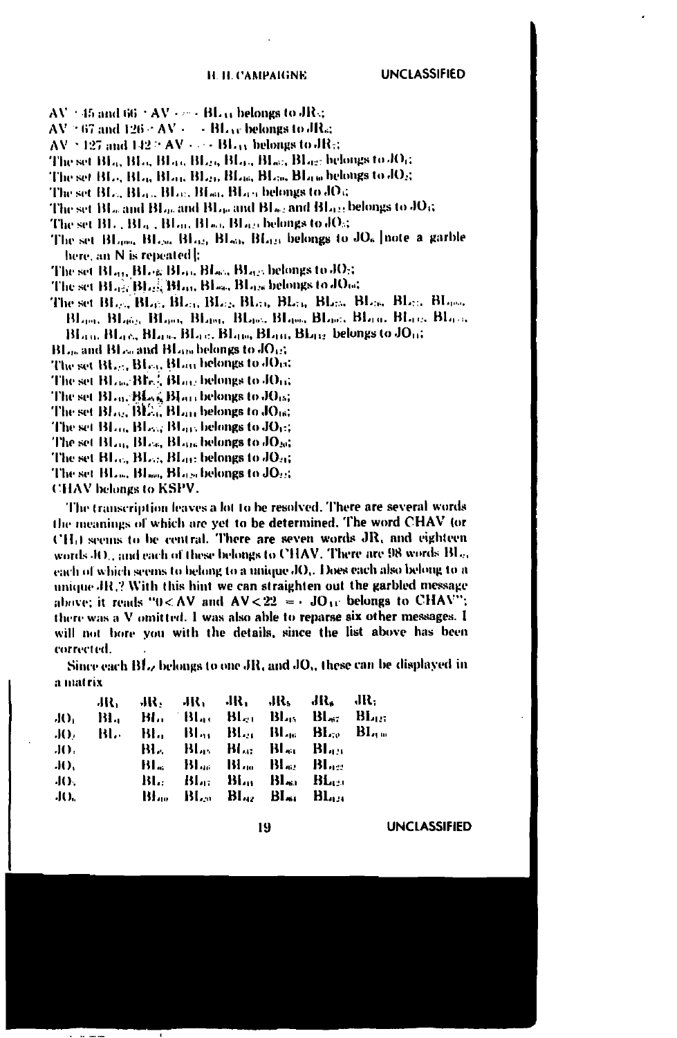$AV = 45$  and 66  $+ AV + \cdots + BL_{33}$  belongs to JRs;

 $AV = 67$  and  $126 \le AV \le \cdots$  BL is belongs to JR at

- $AV \simeq 127$  and  $142 \simeq AV \simeq -BL_{33}$  belongs to JR-:
- 
- 
- The set  $BL_{\alpha}$   $BL_{\alpha}$   $BL_{\alpha}$   $BL_{\alpha}$   $BL_{\alpha}$   $B_{\alpha}$  belongs to  $dO_{\beta}$
- The set BL, and BL), and BL), and BL), and BL(), belongs to JO()
- The set BL, BL<sub>9</sub>, BL<sub>9</sub>, BL<sub>9</sub>, BL<sub>9</sub>, belongs to JO<sub>5</sub>
- The set BL<sub>ong</sub>, BL<sub>ON</sub>, BL<sub>O2</sub>, BL<sub>o2</sub>, BL<sub>o2</sub>, belongs to JO<sub>6</sub> |note a garble here, an N is repeated b
- The set Blan, Blog Blac, Blac, Blacs belongs to JOst
- The set BLast BLast BLau, BLast BLass belongs to JOat
- Blanc, Blanc, Blanc, Blanc, Blanc, Blanc, Blanc, Blanc, Blanc, Blanc, BLan, BLac, BLan, BLac, BLan, BLan, BLac, belongs to JOa;
- $BL_{00}$  and  $BL_{00}$  and  $BL_{100}$  belongs to  $JO_{12}$ .
- The set BL<sub>25</sub>, BL<sub>63</sub>, BL<sub>03</sub> belongs to JO<sub>13</sub>;
- The set BLace Blv.<sup>2</sup>, BLace belongs to JOrd
- The set BLo. Blood Blott belongs to JO15;
- The set  $BL_{22}$ ,  $BL_{33}$ ,  $BL_{33}$  belongs to  $JO_{16}$ ;
- The set BLoc, BLoc, BLoc, belongs to JOc;
- The set BL<sub>14</sub>, BL<sub>16</sub>, BL<sub>916</sub> belongs to JO<sub>20</sub>;
- The set  $BL_{00}$ ,  $BL_{01}$ ,  $BL_{11}$ ; belongs to  $JO_{21}$ ;
- The set BL., BL., BL., belongs to JO.:
- CHAV belongs to KSPV.

The transcription leaves a lot to be resolved. There are several words the meanings of which are yet to be determined. The word CHAV (or CH<sub>0</sub> seems to be central. There are seven words JR, and eighteen words 4O , and each of these belongs to CHAV. There are 98 words BL .. each of which seems to belong to a unique JO,. Does each also belong to a unique JR,? With this hint we can straighten out the garbled message above; it reads "0<AV and AV<22 =  $\cdot$  JO  $\alpha$  belongs to CHAV"; there was a V omitted. I was also able to reparse six other messages. I will not bore you with the details, since the list above has been corrected.

Since each BL, belongs to one JR, and JO,, these can be displayed in a matrix

|         |  |  | $AR_1 = AR_2 = AR_3 = AR_4 = AR_5 = AR_6 = AR_1$ |  |
|---------|--|--|--------------------------------------------------|--|
|         |  |  | JO, BL, BL, Bl,, Bl,, Bl,, Bl,, Bl,, Bl,,, Bl,,, |  |
|         |  |  | JO: BL: BL: Blar Blag Blag Blag Blag             |  |
| JO.     |  |  | <b>BL. BL. BL. BL. BL. BL.</b>                   |  |
| -IO.    |  |  | Bland Bland Bland Black                          |  |
| 40.     |  |  | Bl.: Bl.i: Bl.ii Bl.ii Bl.ci                     |  |
| $J()$ . |  |  | Blue Blue Blue Blue Blues                        |  |

19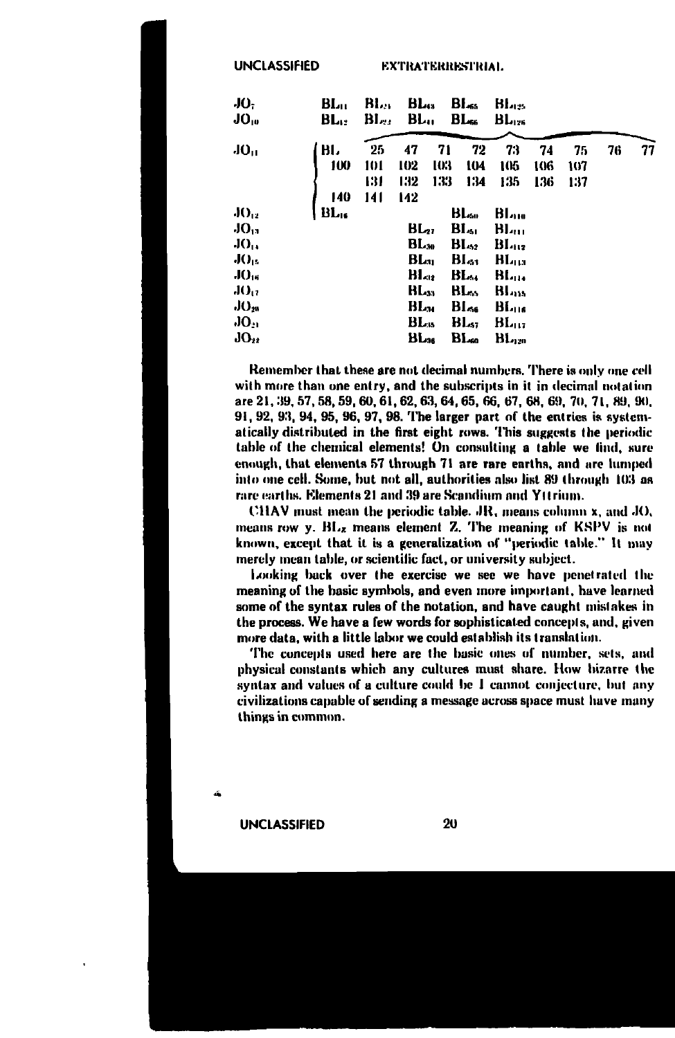**UNCLASSIFIED** 

**EXTRATERRESTRIAL** 

| JO.<br>JO.,      | $BL_{II}$<br>BL. | $\mathbf{B}$ lan<br>BL., | BL <sub>43</sub><br>BL |           | $B_{\rm{L,ss}}$<br>$BL_{\rm s}$ | BL<br>$BL_{126}$         |            |            |    |    |
|------------------|------------------|--------------------------|------------------------|-----------|---------------------------------|--------------------------|------------|------------|----|----|
| JO <sub>II</sub> | ВΙ,<br>100       | 25<br>101                | 47<br>102              | 71<br>103 | 72<br>IO4                       | 73<br>105                | 74         | 75         | 76 | 77 |
|                  |                  | 131                      | 132                    | 133       | 134                             | 135                      | 106<br>136 | 107<br>137 |    |    |
|                  | 140              | 141                      | 142                    |           |                                 |                          |            |            |    |    |
| $J()_{12}$       | BL.              |                          |                        |           | BL.                             | BL                       |            |            |    |    |
| JO <sub>13</sub> |                  |                          | BL27                   |           | BL،                             | <b>BL</b>                |            |            |    |    |
| $JO_{14}$        |                  |                          | $BL_{30}$              |           | $BL_{22}$                       | BI <sub>112</sub>        |            |            |    |    |
| J()              |                  |                          | BL.,                   |           | BL51                            | BLaa                     |            |            |    |    |
| $J()_{16}$       |                  |                          | Bl.,                   |           | BL.,                            | 81.                      |            |            |    |    |
| JO <sub>U</sub>  |                  |                          | BL <sub>33</sub>       |           | BL.,                            | <b>BL</b> <sub>115</sub> |            |            |    |    |
| $JO_{28}$        |                  |                          | BL <sub>34</sub>       |           | Bl…                             | BL                       |            |            |    |    |
| JO <sub>11</sub> |                  |                          | $BL_{15}$              |           | $BL_{1}$                        | $BL_{117}$               |            |            |    |    |
| $JO_{ii}$        |                  |                          | BLзе                   |           | BL                              | $\mathbf{H}_{420}$       |            |            |    |    |

Remember that these are not decimal numbers. There is only one cell with more than one entry, and the subscripts in it in decimal notation are 21, 39, 57, 58, 59, 60, 61, 62, 63, 64, 65, 66, 67, 68, 69, 70, 71, 89, 90, 91, 92, 93, 94, 95, 96, 97, 98. The larger part of the entries is systematically distributed in the first eight rows. This suggests the periodic table of the chemical elements! On consulting a table we find, sure enough, that elements 57 through 71 are rare earths, and are lumped into one cell. Some, but not all, authorities also list 89 through 103 as rare earths. Elements 21 and 39 are Scandium and Yttrium.

CHAV must mean the periodic table. JR, means column x, and JO, means row y. BLz means element Z. The meaning of KSPV is not known, except that it is a generalization of "periodic table." It may merely mean table, or scientific fact, or university subject.

Looking back over the exercise we see we have penetrated the meaning of the basic symbols, and even more important, have learned some of the syntax rules of the notation, and have caught mistakes in the process. We have a few words for sophisticated concepts, and, given more data, with a little labor we could establish its translation.

The concepts used here are the basic ones of number, sets, and physical constants which any cultures must share. How hizarre the syntax and values of a culture could be I cannot conjecture, but any civilizations capable of sending a message across space must have many things in common.

**UNCLASSIFIED**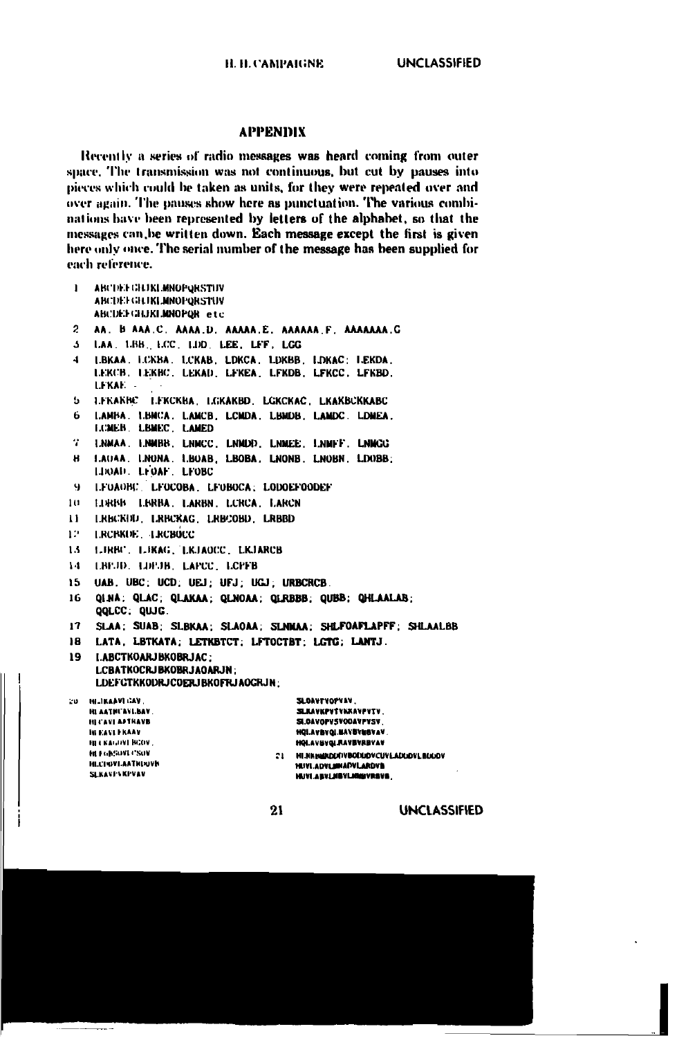### **APPENDIX**

Recently a series of radio messages was heard coming from outer space. The transmission was not continuous, but cut by pauses into pieces which could be taken as units, for they were repeated over and over again. The pauses show here as punctuation. The various combinations have been represented by letters of the alphabet, so that the messages can be written down. Each message except the first is given here only once. The serial number of the message has been supplied for each reference.

| L               | ABCDELGEDKLMNOPORSTUV                                                                          |
|-----------------|------------------------------------------------------------------------------------------------|
|                 | ABCDEFGEIKLMNOPORSTUV<br>ABCDEFGHJKLMNOPOR etc                                                 |
| $\overline{c}$  | AA. B AAA.C. AAAA.D. AAAAA.E. AAAAAA.F. AAAAAAA.G                                              |
| $\mathbf{A}$    | LAA. LBB., LCC., LDD., LEE., LFF., LCC                                                         |
|                 |                                                                                                |
| 4               | LBKAA, LCKBA, LCKAB, LDKCA, LDKBB, LDKAC; LEKDA,                                               |
|                 | LEKCB, LEKBC, LEKAD, LEKEA, LEKDB, LEKCC, LEKBD,<br>LEKAE - -                                  |
|                 |                                                                                                |
| . د             | LEKANNC LEKCKBA LGKAKBD LGKCKAC LKAKBCKKABC                                                    |
| 6.              | LAMBA. LBMCA, LAMCB. LCMDA. LBMDB. LAMDC. LDMEA.<br>LCMER LBMEC LAMED                          |
|                 |                                                                                                |
| ч.              | I.NMAA I.NMBB. LNMCC. LNMDD. LNMEE. I.NMFF. LNMGG                                              |
| н               | LAUAA. LNONA. LBOAB, LBOBA, LNONB. LNOBN. LDOBB;                                               |
|                 | LDOAD LEOAF LFOBC                                                                              |
| -91             | LEOAOBC LEOCOBA LEOBOCA LODOEFOODEF                                                            |
| 10-             | LURBB LIBRBA, LARBN, LCRCA, LARCN                                                              |
| u               | LRBCKFID. LRBCKAG. LRBCOBD. LRBBD                                                              |
| 12.             | LRCBKDE LRCB0CC                                                                                |
| 13              | LIRBU, LIKAG, LKJAOCC, LKJARCB                                                                 |
| 1.4             | LBPJD. LDPJB. LAPCC. LCPFB                                                                     |
| 15              | UAB. UBC; UCD; UEJ; UFJ; UGJ; URBCRCB.                                                         |
| 16              | QINA: QLAC: QLAKAA; QLNOAA; QLRBBB; QUBB; QHLAALAB;                                            |
|                 | QQLCC. QUJG.                                                                                   |
| 17 <sup>7</sup> | SLAA: SUAB: SLBKAA: SLAOAA: SLNMAA: SHLFOAFLAPFF: SHLAALBB                                     |
| 18.             | LATA, LBTKATA; LETKBTCT; LFTOCTBT; LGTG; LANTJ.                                                |
| 19              | LABCTKOARJBKOBRJAC:                                                                            |
|                 | LCBATKOCRJBKOBRJAOARJN:                                                                        |
|                 | LDEF GTKKODRJCOERJBKOFRJAOGRJN:                                                                |
|                 | 20 HEIKAAVILAV.<br>SLOAVEVOPVAV.                                                               |
|                 | HLAATHUAVLBAV.<br>SLKAVKPVTVAKAVPVTV.                                                          |
|                 | SI.OAVOPVSVOOAVPYSV<br>HE CAVE APTRAVB<br><b>HQLAVBYQLEAVBVNBVAV</b> .<br><b>IN EAST FRAAV</b> |
|                 | <b><i>HOLAVBYOLRAVBYRBYAY</i></b><br><b>HELKALDVENCOV.</b>                                     |
|                 | <b>METARSON CSOV</b><br>MI.NKHMIDDIVBOODDVCUVI.ADDDVI.BIKKOV<br>21.                            |
|                 | <b>HECHOVEAATHINDVB</b><br><b>SEIVI ADM IMADVI ABOVS</b>                                       |

 $21$ 

HUVI.ABVLMBVLMMVRSVB.

SLKAVI - KI VAV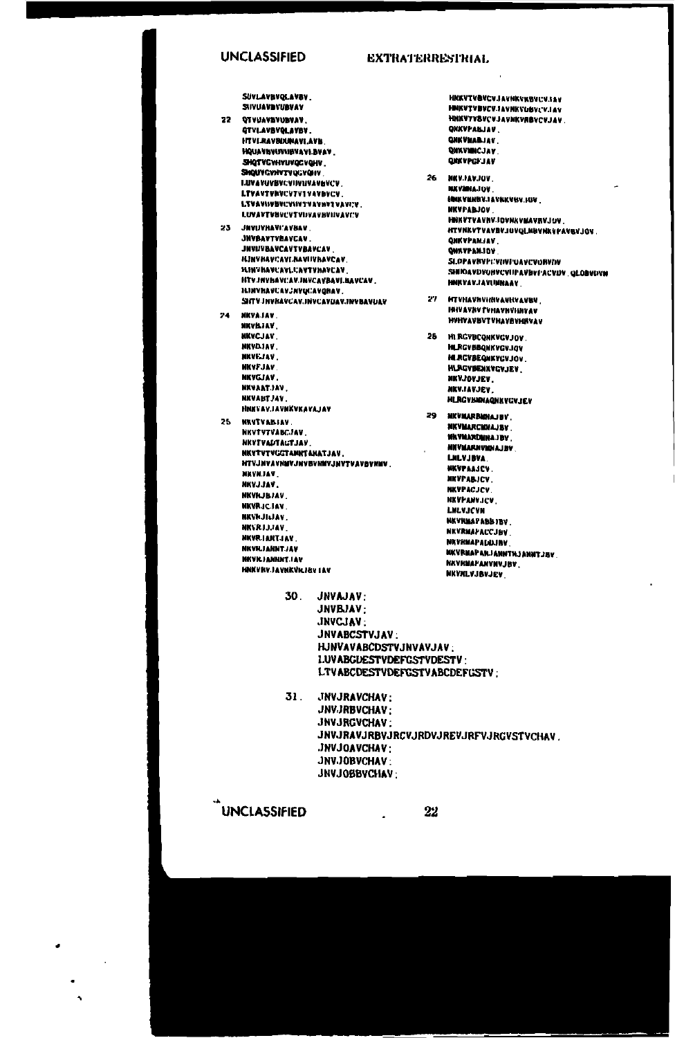### **UNCLASSIFIED**

## **EXTRATERRESTRIAL**

SUVLAVINVQLAVBV. SUVUAVBVUBVAV

### 22 DEVISAVANIMMAN **OTVLAVBVOLAVBV HTVLRAVRISHAVLAVK** HOUAVEVUVIISVAVLBVAV SHQTVCVHVUVQCVQHV SHQUVGVHVTVQGVQHV **LUVAVOVBVCVINUJVAVBVCV.** LTVAVTVNVCVTV1VAVBVCV. LTVAVISUSUCVISTVAVNYTVAVICV. **LUVAVTVBVCVTVIJVAVBVIJVAVCV** 23 JEVINANI'AVAAV **JNVBAVTVBAVCAV JNVUVBAVCAVTVBAVCAV HJNVHAVCAVLHAVIIVHAVCAV. HINTHAVEAVLCAVTVHAVCAV** HTV.HVhAVCAV.INVCAVBAVLBAVCAV.

**HINVHAVCAVJNVQCAVQRAV.** SIITY INVRAVCAV.INVCAVUAV.INVBAVUAV 24. NKYAJAV. NKVILTAV, **NKYCJAV** 

- NKVDJAV. **NKVEJAV**, **NKVFJAV NKVGJAV.** NXVAATJAV, **NKVABTJAV.** HNKVAVJAVNKVKAVAJAV
- 25 NRVTVABIAV. NKVTVTVABCJAV NKYTVADTAGTJAV. NKVTVTVGGTAMNTANATJAV. **HIAT ARABALAMAN ARABANTAN ARABAN KILAH** NKVHJAV NKVJJAV. **NKVILJBJAV NKVRICIAV. BKVkJILJAV.** NKVRJJJAV. NKVRIANTJAV. **NKVRJANNTJAV HEVEJANNNT.IAV** HNKVRVJAVNKVRJ&V LAV

**HNKVTVBVCVJAVNKVKBVCVJAV** HNKVTVBVCV.IAVNKVUBVCV.IAV **HNXVTVBVCVJAVNKVRBVCVJAV QKKVPABJAV. QHKVMABJAY** QUIKVINICJAV **ORKVPCF.IAV** 26 NKV.IAV.JOV

**NKVMMAJOV INKVENBY.IAVNKVBY.JOV.** *MKVFARJOV* HNKVTVAVNV.IOVNKVMAVRVJUV. HTVNKVTVAVBVJUVQLNBVNKVFAVBVJOV. **QHKVPANJAV.** QUAVPANJOV SLOPAVNYP:/VINFOAVCVORVIN SHIOAVDVOHVCVIII AVBVI ACVDV, QLOBVIVN **MMKVAV.JAVIMNAAV** 

27 HTVHAVHVHNVAVHVAVBV **IBIVAVAV TVHAVHVIIBVAV HVHVAVBVTVHAVRVHHVAV** 

25 **HLRGVBCONKVGVJOV HLRGVBBQNKVGVJQV HLACVBEQNKYCVJOV HLACVBENAVCVJEV** NKVJOVJEV. **NKV.IAVJEV** HLRGVBRNAQNKVCVJEV

29 NKVMARBANAJBY. NKVMARCMNAJBV **WAYMARDINAJEV MITVMARNVMNAJBV LILVJBVA NKVPAAJCV. NKVPABJCV. NKVPACJCV NKVPANVJCV** LILVJCVH **MKVRMAPABLIBV. NKVRMAPACCJBV NKVRMAPALALINV MKVRMAPARJANNTHJANNTJBV** NEVRMAPANYNVJBV. **NKVALVJBVJEV** 

30. JNVAJAV: JNVBJAV: JNVCJAV: JNVABCSTVJAV: HJNVAVABCDSTVJNVAVJAV: **I.UVABGUESTVDEFGSTVDESTV:** LTVABCDESTVDEFGSTVABCDEFGSTV:

31. JNVJRAVCHAV: JNV.JRBVCHAV: JNVJRGVCHAV: JNVJRAVJRBVJRCVJRDVJREVJRFVJRCVSTVCHAV. **JNVJOAVCHAV: JNVJOBVCHAV:** JNVJOBBVCHAV;

 $\cdot$ 

**UNCLASSIFIED** 

22

l.